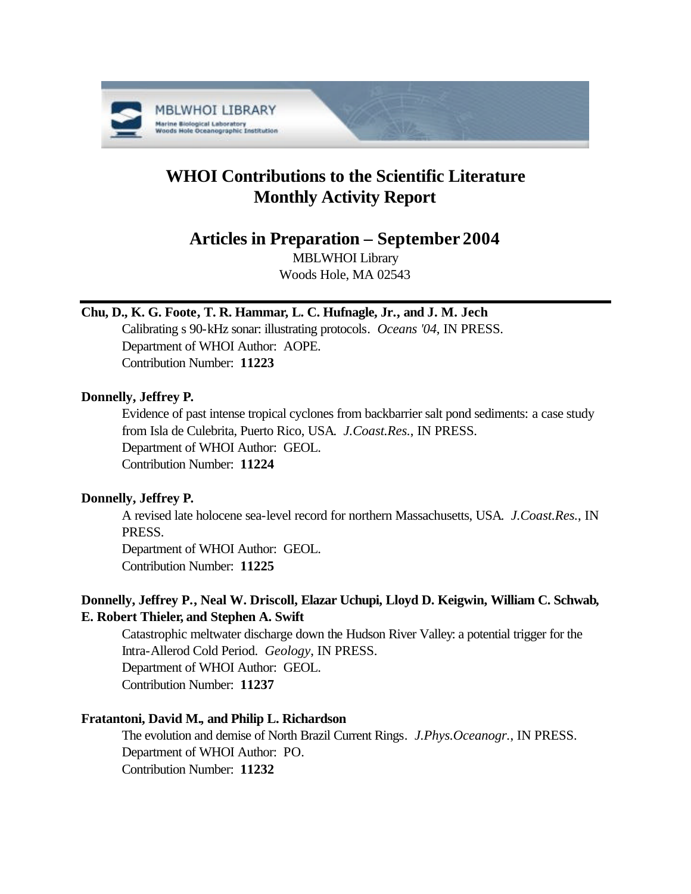

# **WHOI Contributions to the Scientific Literature Monthly Activity Report**

# **Articles in Preparation – September 2004**

MBLWHOI Library Woods Hole, MA 02543

# **Chu, D., K. G. Foote, T. R. Hammar, L. C. Hufnagle, Jr., and J. M. Jech**

Calibrating s 90-kHz sonar: illustrating protocols. *Oceans '04*, IN PRESS. Department of WHOI Author: AOPE. Contribution Number: **11223**

# **Donnelly, Jeffrey P.**

Evidence of past intense tropical cyclones from backbarrier salt pond sediments: a case study from Isla de Culebrita, Puerto Rico, USA. *J.Coast.Res.*, IN PRESS. Department of WHOI Author: GEOL. Contribution Number: **11224**

# **Donnelly, Jeffrey P.**

A revised late holocene sea-level record for northern Massachusetts, USA. *J.Coast.Res.*, IN PRESS.

Department of WHOI Author: GEOL. Contribution Number: **11225**

# **Donnelly, Jeffrey P., Neal W. Driscoll, Elazar Uchupi, Lloyd D. Keigwin, William C. Schwab, E. Robert Thieler, and Stephen A. Swift**

Catastrophic meltwater discharge down the Hudson River Valley: a potential trigger for the Intra-Allerod Cold Period. *Geology*, IN PRESS. Department of WHOI Author: GEOL. Contribution Number: **11237**

# **Fratantoni, David M., and Philip L. Richardson**

The evolution and demise of North Brazil Current Rings. *J.Phys.Oceanogr.*, IN PRESS. Department of WHOI Author: PO. Contribution Number: **11232**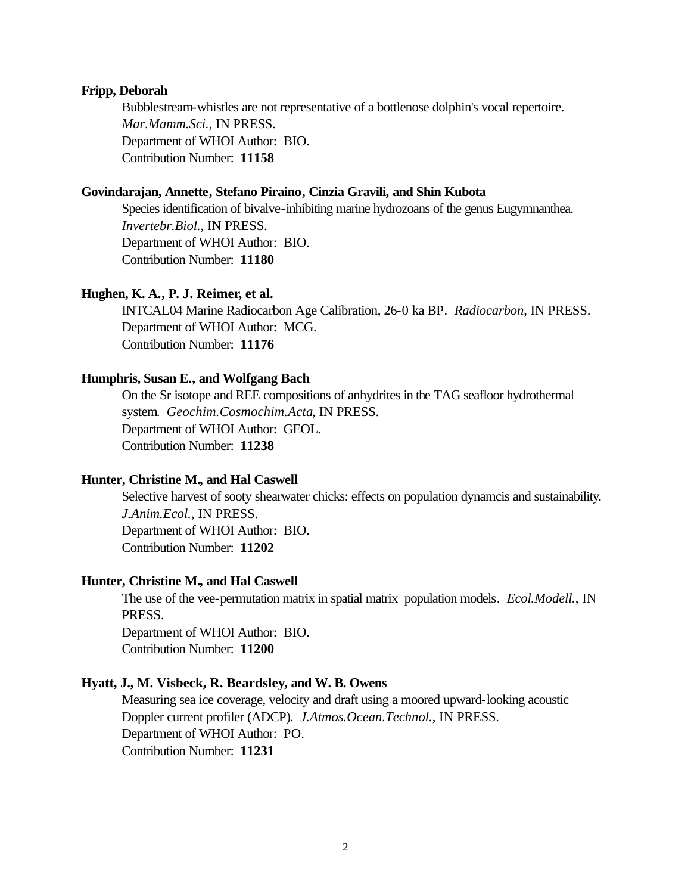#### **Fripp, Deborah**

Bubblestream-whistles are not representative of a bottlenose dolphin's vocal repertoire. *Mar.Mamm.Sci.*, IN PRESS. Department of WHOI Author: BIO. Contribution Number: **11158**

# **Govindarajan, Annette, Stefano Piraino, Cinzia Gravili, and Shin Kubota**

Species identification of bivalve-inhibiting marine hydrozoans of the genus Eugymnanthea. *Invertebr.Biol.*, IN PRESS. Department of WHOI Author: BIO. Contribution Number: **11180**

# **Hughen, K. A., P. J. Reimer, et al.**

INTCAL04 Marine Radiocarbon Age Calibration, 26-0 ka BP. *Radiocarbon*, IN PRESS. Department of WHOI Author: MCG. Contribution Number: **11176**

# **Humphris, Susan E., and Wolfgang Bach**

On the Sr isotope and REE compositions of anhydrites in the TAG seafloor hydrothermal system. *Geochim.Cosmochim.Acta*, IN PRESS. Department of WHOI Author: GEOL. Contribution Number: **11238**

# **Hunter, Christine M., and Hal Caswell**

Selective harvest of sooty shearwater chicks: effects on population dynamcis and sustainability. *J.Anim.Ecol.*, IN PRESS. Department of WHOI Author: BIO. Contribution Number: **11202**

#### **Hunter, Christine M., and Hal Caswell**

The use of the vee-permutation matrix in spatial matrix population models. *Ecol.Modell.*, IN PRESS. Department of WHOI Author: BIO. Contribution Number: **11200**

# **Hyatt, J., M. Visbeck, R. Beardsley, and W. B. Owens**

Measuring sea ice coverage, velocity and draft using a moored upward-looking acoustic Doppler current profiler (ADCP). *J.Atmos.Ocean.Technol.*, IN PRESS. Department of WHOI Author: PO. Contribution Number: **11231**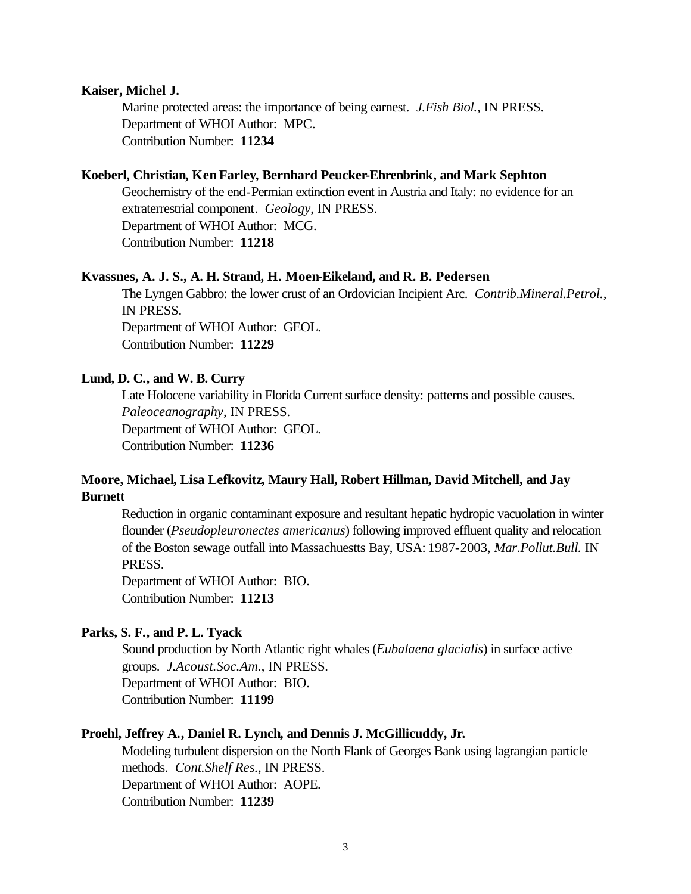#### **Kaiser, Michel J.**

Marine protected areas: the importance of being earnest. *J.Fish Biol.*, IN PRESS. Department of WHOI Author: MPC. Contribution Number: **11234**

# **Koeberl, Christian, Ken Farley, Bernhard Peucker-Ehrenbrink, and Mark Sephton**

Geochemistry of the end-Permian extinction event in Austria and Italy: no evidence for an extraterrestrial component. *Geology*, IN PRESS. Department of WHOI Author: MCG. Contribution Number: **11218**

#### **Kvassnes, A. J. S., A. H. Strand, H. Moen-Eikeland, and R. B. Pedersen**

The Lyngen Gabbro: the lower crust of an Ordovician Incipient Arc. *Contrib.Mineral.Petrol.*, IN PRESS. Department of WHOI Author: GEOL. Contribution Number: **11229**

# **Lund, D. C., and W. B. Curry**

Late Holocene variability in Florida Current surface density: patterns and possible causes. *Paleoceanography*, IN PRESS. Department of WHOI Author: GEOL. Contribution Number: **11236**

# **Moore, Michael, Lisa Lefkovitz, Maury Hall, Robert Hillman, David Mitchell, and Jay Burnett**

Reduction in organic contaminant exposure and resultant hepatic hydropic vacuolation in winter flounder (*Pseudopleuronectes americanus*) following improved effluent quality and relocation of the Boston sewage outfall into Massachuestts Bay, USA: 1987-2003, *Mar.Pollut.Bull.* IN PRESS.

Department of WHOI Author: BIO. Contribution Number: **11213**

# **Parks, S. F., and P. L. Tyack**

Sound production by North Atlantic right whales (*Eubalaena glacialis*) in surface active groups. *J.Acoust.Soc.Am.*, IN PRESS. Department of WHOI Author: BIO. Contribution Number: **11199**

# **Proehl, Jeffrey A., Daniel R. Lynch, and Dennis J. McGillicuddy, Jr.**

Modeling turbulent dispersion on the North Flank of Georges Bank using lagrangian particle methods. *Cont.Shelf Res.*, IN PRESS. Department of WHOI Author: AOPE. Contribution Number: **11239**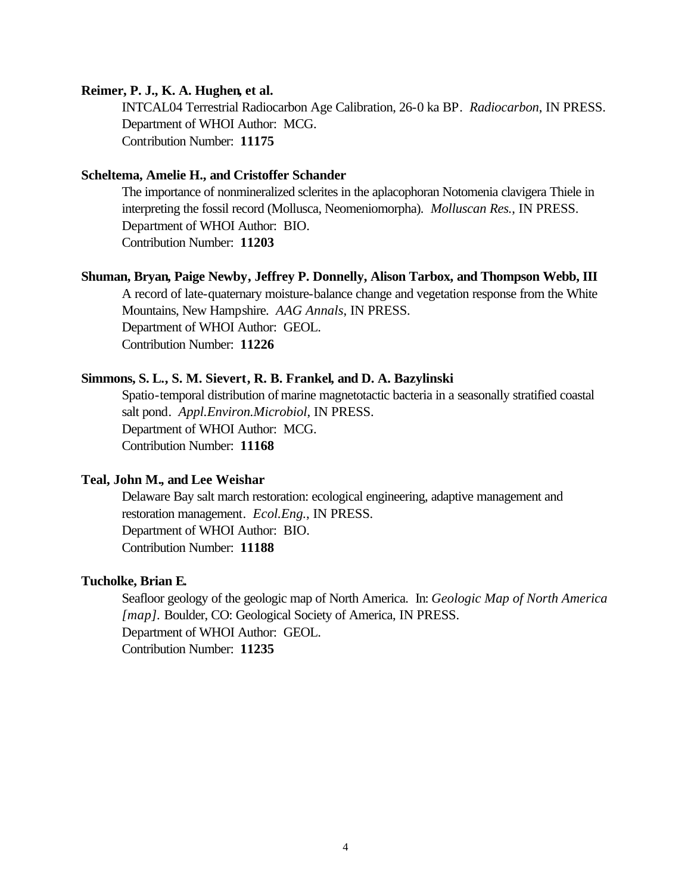#### **Reimer, P. J., K. A. Hughen, et al.**

INTCAL04 Terrestrial Radiocarbon Age Calibration, 26-0 ka BP. *Radiocarbon*, IN PRESS. Department of WHOI Author: MCG. Contribution Number: **11175**

# **Scheltema, Amelie H., and Cristoffer Schander**

The importance of nonmineralized sclerites in the aplacophoran Notomenia clavigera Thiele in interpreting the fossil record (Mollusca, Neomeniomorpha). *Molluscan Res.*, IN PRESS. Department of WHOI Author: BIO. Contribution Number: **11203**

#### **Shuman, Bryan, Paige Newby, Jeffrey P. Donnelly, Alison Tarbox, and Thompson Webb, III**

A record of late-quaternary moisture-balance change and vegetation response from the White Mountains, New Hampshire. *AAG Annals*, IN PRESS. Department of WHOI Author: GEOL. Contribution Number: **11226**

# **Simmons, S. L., S. M. Sievert, R. B. Frankel, and D. A. Bazylinski**

Spatio-temporal distribution of marine magnetotactic bacteria in a seasonally stratified coastal salt pond. *Appl.Environ.Microbiol*, IN PRESS. Department of WHOI Author: MCG. Contribution Number: **11168**

# **Teal, John M., and Lee Weishar**

Delaware Bay salt march restoration: ecological engineering, adaptive management and restoration management. *Ecol.Eng.*, IN PRESS. Department of WHOI Author: BIO. Contribution Number: **11188**

#### **Tucholke, Brian E.**

Seafloor geology of the geologic map of North America. In: *Geologic Map of North America [map].* Boulder, CO: Geological Society of America, IN PRESS. Department of WHOI Author: GEOL. Contribution Number: **11235**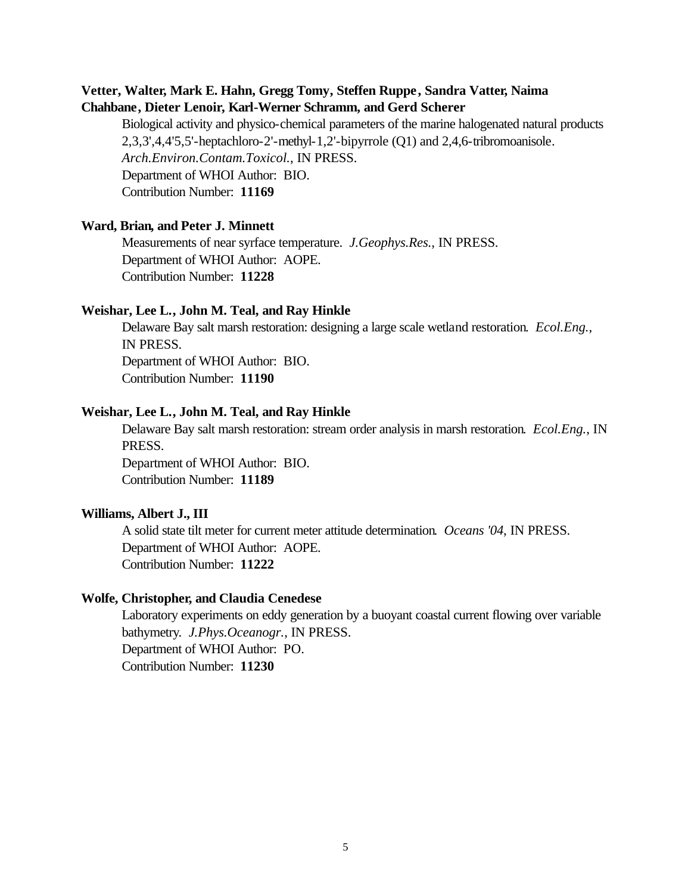# **Vetter, Walter, Mark E. Hahn, Gregg Tomy, Steffen Ruppe, Sandra Vatter, Naima Chahbane, Dieter Lenoir, Karl-Werner Schramm, and Gerd Scherer**

Biological activity and physico-chemical parameters of the marine halogenated natural products 2,3,3',4,4'5,5'-heptachloro-2'-methyl-1,2'-bipyrrole (Q1) and 2,4,6-tribromoanisole. *Arch.Environ.Contam.Toxicol.*, IN PRESS. Department of WHOI Author: BIO. Contribution Number: **11169**

# **Ward, Brian, and Peter J. Minnett**

Measurements of near syrface temperature. *J.Geophys.Res.*, IN PRESS. Department of WHOI Author: AOPE. Contribution Number: **11228**

### **Weishar, Lee L., John M. Teal, and Ray Hinkle**

Delaware Bay salt marsh restoration: designing a large scale wetland restoration. *Ecol.Eng.*, IN PRESS. Department of WHOI Author: BIO. Contribution Number: **11190**

#### **Weishar, Lee L., John M. Teal, and Ray Hinkle**

Delaware Bay salt marsh restoration: stream order analysis in marsh restoration. *Ecol.Eng.*, IN PRESS. Department of WHOI Author: BIO. Contribution Number: **11189**

# **Williams, Albert J., III**

A solid state tilt meter for current meter attitude determination. *Oceans '04*, IN PRESS. Department of WHOI Author: AOPE. Contribution Number: **11222**

# **Wolfe, Christopher, and Claudia Cenedese**

Laboratory experiments on eddy generation by a buoyant coastal current flowing over variable bathymetry. *J.Phys.Oceanogr.*, IN PRESS. Department of WHOI Author: PO. Contribution Number: **11230**